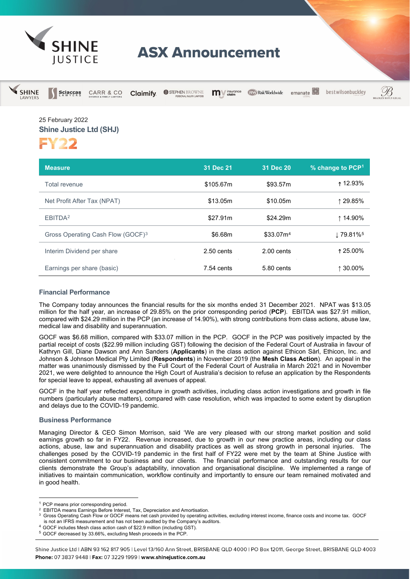

# **ASX Announcement**

| <b>SHINE</b><br>LAWYERS | $\mathbf{Sci}\underset{\mathsf{L}\,\mathsf{A}\,\mathsf{W}}{\mathsf{c}}\underset{\mathsf{Y}\,\mathsf{E}\,\mathsf{R}\,\mathsf{S}}{\mathsf{c}}\mathsf{a}\mathsf{s}$ | <b>CARR &amp; CO</b> | <b>Claimify</b> | STEPHEN BROWNE<br>PERSONAL INJURY LAWYERS | <i>insurance</i><br>m | RW Risk Worldwide     | emanate                      | bestwilsonbuckley | <b>BRADI</b> |
|-------------------------|------------------------------------------------------------------------------------------------------------------------------------------------------------------|----------------------|-----------------|-------------------------------------------|-----------------------|-----------------------|------------------------------|-------------------|--------------|
|                         | 25 February 2022<br><b>Shine Justice Ltd (SHJ)</b><br>FY22                                                                                                       |                      |                 |                                           |                       |                       |                              |                   |              |
|                         | <b>Measure</b>                                                                                                                                                   |                      |                 | 31 Dec 21                                 |                       | 31 Dec 20             | % change to PCP <sup>1</sup> |                   |              |
|                         | <b>Total revenue</b>                                                                                                                                             |                      |                 |                                           | \$105.67m             | \$93.57m              |                              | ↑ 12.93%          |              |
|                         | Net Profit After Tax (NPAT)                                                                                                                                      |                      |                 |                                           | \$13.05m              | \$10.05m              |                              | ↑ 29.85%          |              |
|                         | EBITDA <sup>2</sup>                                                                                                                                              |                      |                 |                                           | \$27.91m              | \$24.29m              |                              | ↑ 14.90%          |              |
|                         | Gross Operating Cash Flow (GOCF) <sup>3</sup>                                                                                                                    |                      |                 |                                           | \$6.68m               | \$33.07m <sup>4</sup> |                              | ↓79.81%5          |              |
|                         | Interim Dividend per share                                                                                                                                       |                      |                 |                                           | 2.50 cents            | 2.00 cents            |                              | ↑25.00%           |              |
|                         | Earnings per share (basic)                                                                                                                                       |                      |                 |                                           | 7.54 cents            | 5.80 cents            |                              | ↑ 30.00%          |              |

# **Financial Performance**

The Company today announces the financial results for the six months ended 31 December 2021. NPAT was \$13.05 million for the half year, an increase of 29.85% on the prior corresponding period (**PCP**). EBITDA was \$27.91 million, compared with \$24.29 million in the PCP (an increase of 14.90%), with strong contributions from class actions, abuse law, medical law and disability and superannuation.

GOCF was \$6.68 million, compared with \$33.07 million in the PCP. GOCF in the PCP was positively impacted by the partial receipt of costs (\$22.99 million including GST) following the decision of the Federal Court of Australia in favour of Kathryn Gill, Diane Dawson and Ann Sanders (**Applicants**) in the class action against Ethicon Sàrl, Ethicon, Inc. and Johnson & Johnson Medical Pty Limited (**Respondents**) in November 2019 (the **Mesh Class Action**). An appeal in the matter was unanimously dismissed by the Full Court of the Federal Court of Australia in March 2021 and in November 2021, we were delighted to announce the High Court of Australia's decision to refuse an application by the Respondents for special leave to appeal, exhausting all avenues of appeal.

GOCF in the half year reflected expenditure in growth activities, including class action investigations and growth in file numbers (particularly abuse matters), compared with case resolution, which was impacted to some extent by disruption and delays due to the COVID-19 pandemic.

### **Business Performance**

Managing Director & CEO Simon Morrison, said 'We are very pleased with our strong market position and solid earnings growth so far in FY22. Revenue increased, due to growth in our new practice areas, including our class actions, abuse, law and superannuation and disability practices as well as strong growth in personal injuries. The challenges posed by the COVID-19 pandemic in the first half of FY22 were met by the team at Shine Justice with consistent commitment to our business and our clients. The financial performance and outstanding results for our clients demonstrate the Group's adaptability, innovation and organisational discipline. We implemented a range of initiatives to maintain communication, workflow continuity and importantly to ensure our team remained motivated and in good health.

<span id="page-0-2"></span><span id="page-0-1"></span>

<span id="page-0-0"></span><sup>&</sup>lt;sup>1</sup> PCP means prior corresponding period.<br>
<sup>2</sup> EBITDA means Earnings Before Interest, Tax, Depreciation and Amortisation.<br>
<sup>3</sup> Gross Operating Cash Flow or GOCF means net cash provided by operating activities, excluding i

<span id="page-0-3"></span>GOCF includes Mesh class action cash of \$22.9 million (including GST).

<span id="page-0-4"></span><sup>5</sup> GOCF decreased by 33.66%, excluding Mesh proceeds in the PCP.